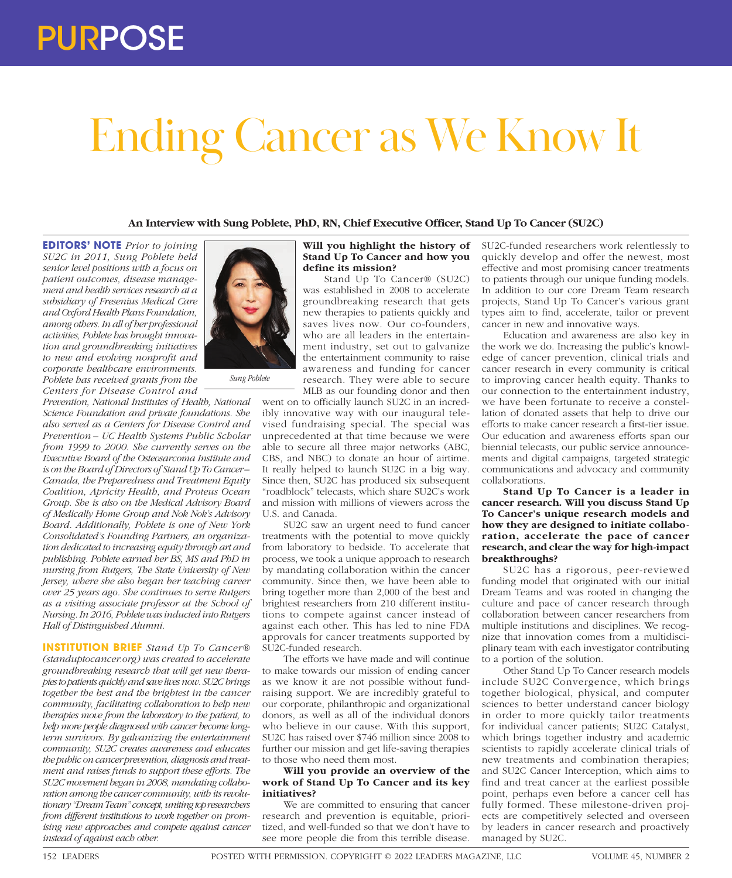# Ending Cancer as We Know It

**An Interview with Sung Poblete, PhD, RN, Chief Executive Officer, Stand Up To Cancer (SU2C)**

**EDITORS' NOTE** *Prior to joining SU2C in 2011, Sung Poblete held senior level positions with a focus on patient outcomes, disease management and health services research at a subsidiary of Fresenius Medical Care and Oxford Health Plans Foundation, among others. In all of her professional activities, Poblete has brought innovation and groundbreaking initiatives to new and evolving nonprofit and corporate healthcare environments. Poblete has received grants from the Centers for Disease Control and* 

*Prevention, National Institutes of Health, National Science Foundation and private foundations. She also served as a Centers for Disease Control and Prevention – UC Health Systems Public Scholar from 1999 to 2000. She currently serves on the Executive Board of the Osteosarcoma Institute and is on the Board of Directors of Stand Up To Cancer – Canada, the Preparedness and Treatment Equity Coalition, Apricity Health, and Proteus Ocean Group. She is also on the Medical Advisory Board of Medically Home Group and Nok Nok's Advisory Board. Additionally, Poblete is one of New York Consolidated's Founding Partners, an organization dedicated to increasing equity through art and publishing. Poblete earned her BS, MS and PhD in nursing from Rutgers, The State University of New Jersey, where she also began her teaching career over 25 years ago. She continues to serve Rutgers as a visiting associate professor at the School of Nursing. In 2016, Poblete was inducted into Rutgers Hall of Distinguished Alumni.*

*Sung Poblete*

**INSTITUTION BRIEF** *Stand Up To Cancer® (standuptocancer.org) was created to accelerate groundbreaking research that will get new therapies to patients quickly and save lives now. SU2C brings together the best and the brightest in the cancer community, facilitating collaboration to help new therapies move from the laboratory to the patient, to help more people diagnosed with cancer become longterm survivors. By galvanizing the entertainment community, SU2C creates awareness and educates the public on cancer prevention, diagnosis and treatment and raises funds to support these efforts. The SU2C movement began in 2008, mandating collaboration among the cancer community, with its revolutionary "Dream Team" concept, uniting top researchers from different institutions to work together on promising new approaches and compete against cancer instead of against each other.*



Stand Up To Cancer® (SU2C) was established in 2008 to accelerate groundbreaking research that gets new therapies to patients quickly and saves lives now. Our co-founders, who are all leaders in the entertainment industry, set out to galvanize the entertainment community to raise awareness and funding for cancer research. They were able to secure MLB as our founding donor and then

went on to officially launch SU2C in an incredibly innovative way with our inaugural televised fundraising special. The special was unprecedented at that time because we were able to secure all three major networks (ABC, CBS, and NBC) to donate an hour of airtime. It really helped to launch SU2C in a big way. Since then, SU2C has produced six subsequent "roadblock" telecasts, which share SU2C's work and mission with millions of viewers across the U.S. and Canada.

SU2C saw an urgent need to fund cancer treatments with the potential to move quickly from laboratory to bedside. To accelerate that process, we took a unique approach to research by mandating collaboration within the cancer community. Since then, we have been able to bring together more than 2,000 of the best and brightest researchers from 210 different institutions to compete against cancer instead of against each other. This has led to nine FDA approvals for cancer treatments supported by SU2C-funded research.

The efforts we have made and will continue to make towards our mission of ending cancer as we know it are not possible without fundraising support. We are incredibly grateful to our corporate, philanthropic and organizational donors, as well as all of the individual donors who believe in our cause. With this support, SU2C has raised over \$746 million since 2008 to further our mission and get life-saving therapies to those who need them most.

### **Will you provide an overview of the work of Stand Up To Cancer and its key initiatives?**

We are committed to ensuring that cancer research and prevention is equitable, prioritized, and well-funded so that we don't have to see more people die from this terrible disease.

SU2C-funded researchers work relentlessly to quickly develop and offer the newest, most effective and most promising cancer treatments to patients through our unique funding models. In addition to our core Dream Team research projects, Stand Up To Cancer's various grant types aim to find, accelerate, tailor or prevent cancer in new and innovative ways.

Education and awareness are also key in the work we do. Increasing the public's knowledge of cancer prevention, clinical trials and cancer research in every community is critical to improving cancer health equity. Thanks to our connection to the entertainment industry, we have been fortunate to receive a constellation of donated assets that help to drive our efforts to make cancer research a first-tier issue. Our education and awareness efforts span our biennial telecasts, our public service announcements and digital campaigns, targeted strategic communications and advocacy and community collaborations.

**Stand Up To Cancer is a leader in cancer research. Will you discuss Stand Up To Cancer's unique research models and how they are designed to initiate collaboration, accelerate the pace of cancer research, and clear the way for high-impact breakthroughs?**

SU2C has a rigorous, peer-reviewed funding model that originated with our initial Dream Teams and was rooted in changing the culture and pace of cancer research through collaboration between cancer researchers from multiple institutions and disciplines. We recognize that innovation comes from a multidisciplinary team with each investigator contributing to a portion of the solution.

Other Stand Up To Cancer research models include SU2C Convergence, which brings together biological, physical, and computer sciences to better understand cancer biology in order to more quickly tailor treatments for individual cancer patients; SU2C Catalyst, which brings together industry and academic scientists to rapidly accelerate clinical trials of new treatments and combination therapies; and SU2C Cancer Interception, which aims to find and treat cancer at the earliest possible point, perhaps even before a cancer cell has fully formed. These milestone-driven projects are competitively selected and overseen by leaders in cancer research and proactively managed by SU2C.